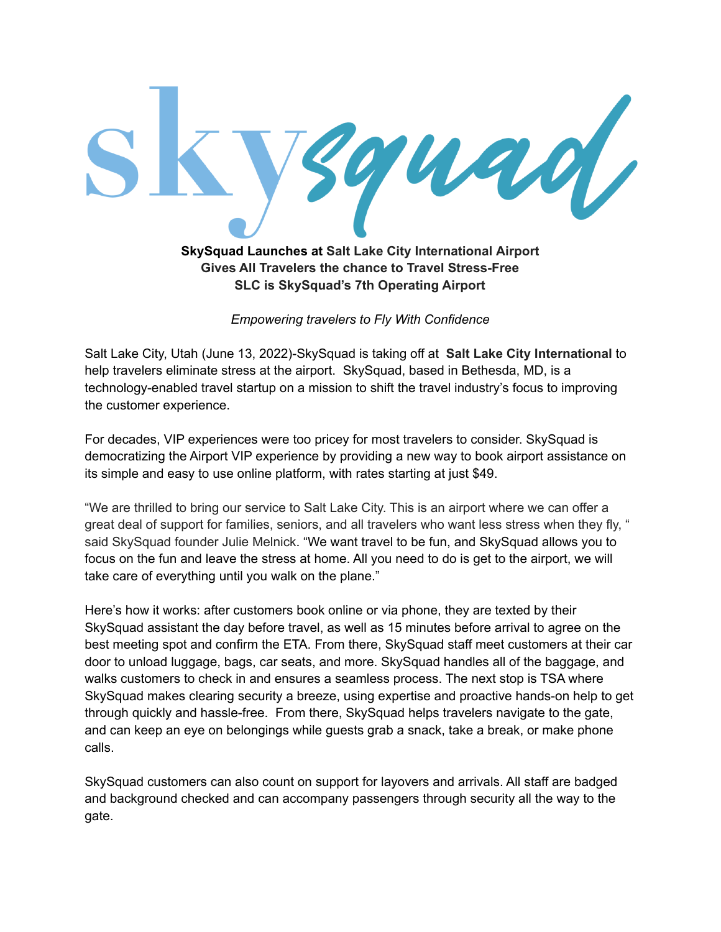

**Gives All Travelers the chance to Travel Stress-Free SLC is SkySquad's 7th Operating Airport**

*Empowering travelers to Fly With Confidence*

Salt Lake City, Utah (June 13, 2022)-SkySquad is taking off at **Salt Lake City International** to help travelers eliminate stress at the airport. SkySquad, based in Bethesda, MD, is a technology-enabled travel startup on a mission to shift the travel industry's focus to improving the customer experience.

For decades, VIP experiences were too pricey for most travelers to consider. SkySquad is democratizing the Airport VIP experience by providing a new way to book airport assistance on its simple and easy to use online platform, with rates starting at just \$49.

"We are thrilled to bring our service to Salt Lake City. This is an airport where we can offer a great deal of support for families, seniors, and all travelers who want less stress when they fly, " said SkySquad founder Julie Melnick. "We want travel to be fun, and SkySquad allows you to focus on the fun and leave the stress at home. All you need to do is get to the airport, we will take care of everything until you walk on the plane."

Here's how it works: after customers book online or via phone, they are texted by their SkySquad assistant the day before travel, as well as 15 minutes before arrival to agree on the best meeting spot and confirm the ETA. From there, SkySquad staff meet customers at their car door to unload luggage, bags, car seats, and more. SkySquad handles all of the baggage, and walks customers to check in and ensures a seamless process. The next stop is TSA where SkySquad makes clearing security a breeze, using expertise and proactive hands-on help to get through quickly and hassle-free. From there, SkySquad helps travelers navigate to the gate, and can keep an eye on belongings while guests grab a snack, take a break, or make phone calls.

SkySquad customers can also count on support for layovers and arrivals. All staff are badged and background checked and can accompany passengers through security all the way to the gate.